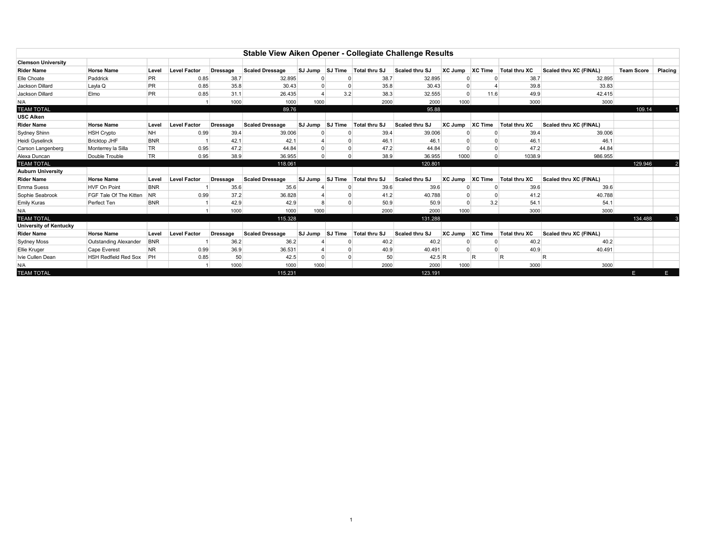| Stable View Aiken Opener - Collegiate Challenge Results |                               |            |                     |                 |                        |         |                |               |                |          |                |                      |                        |                   |                |
|---------------------------------------------------------|-------------------------------|------------|---------------------|-----------------|------------------------|---------|----------------|---------------|----------------|----------|----------------|----------------------|------------------------|-------------------|----------------|
| <b>Clemson University</b>                               |                               |            |                     |                 |                        |         |                |               |                |          |                |                      |                        |                   |                |
| <b>Rider Name</b>                                       | <b>Horse Name</b>             | Level      | <b>Level Factor</b> | <b>Dressage</b> | <b>Scaled Dressage</b> | SJ Jump | SJ Time        | Total thru SJ | Scaled thru SJ | XC Jump  | XC Time        | <b>Total thru XC</b> | Scaled thru XC (FINAL) | <b>Team Score</b> | <b>Placing</b> |
| Elle Choate                                             | Paddrick                      | <b>PR</b>  | 0.85                | 38.7            | 32.895                 |         |                | 38.7          | 32.895         |          |                | 38.7                 | 32.895                 |                   |                |
| Jackson Dillard                                         | Layla Q                       | <b>PR</b>  | 0.85                | 35.8            | 30.43                  |         |                | 35.8          | 30.43          |          |                | 39.8                 | 33.83                  |                   |                |
| Jackson Dillard                                         | Elmo                          | <b>PR</b>  | 0.85                | 31.1            | 26.435                 |         | 3.2            | 38.3          | 32.555         | $\Omega$ | 11.6           | 49.9                 | 42.415                 |                   |                |
| N/A                                                     |                               |            | 1000                |                 | 1000                   | 1000    |                | 2000          | 2000<br>1000   |          |                | 3000                 | 3000                   |                   |                |
| <b>TEAM TOTAL</b>                                       |                               |            |                     |                 | 89.76                  |         | 95.88          |               |                |          |                |                      | 109.14                 |                   |                |
| <b>USC Aiken</b>                                        |                               |            |                     |                 |                        |         |                |               |                |          |                |                      |                        |                   |                |
| <b>Rider Name</b>                                       | <b>Horse Name</b>             | Level      | <b>Level Factor</b> | <b>Dressage</b> | <b>Scaled Dressage</b> | SJ Jump | SJ Time        | Total thru SJ | Scaled thru SJ | XC Jump  | <b>XC Time</b> | <b>Total thru XC</b> | Scaled thru XC (FINAL) |                   |                |
| Sydney Shinn                                            | <b>HSH Crypto</b>             | <b>NH</b>  | 0.99                | 39.4            | 39.006                 |         |                | 39.4          | 39,006         |          |                | 39.4                 | 39,006                 |                   |                |
| Heidi Gyselinck                                         | <b>Bricktop JHF</b>           | <b>BNR</b> |                     | 42.1            | 42.1                   |         |                | 46.1          | 46.1           |          |                | 46.1                 | 46.1                   |                   |                |
| Carson Langenberg                                       | Monterrey la Silla            | <b>TR</b>  | 0.95                | 47.2            | 44.84                  |         |                | 47.2          | 44.84          |          |                | 47.2                 | 44.84                  |                   |                |
| Alexa Duncan                                            | Double Trouble                | <b>TR</b>  | 0.95                | 38.9            | 36.955                 |         |                | 38.9          | 36.955         | 1000     |                | 1038.9               | 986.955                |                   |                |
| <b>TEAM TOTAL</b>                                       |                               |            |                     |                 | 118.061                |         |                | 120.801       |                |          |                |                      |                        | 129.946           |                |
| <b>Auburn University</b>                                |                               |            |                     |                 |                        |         |                |               |                |          |                |                      |                        |                   |                |
| <b>Rider Name</b>                                       | <b>Horse Name</b>             | Level      | <b>Level Factor</b> | <b>Dressage</b> | <b>Scaled Dressage</b> | SJ Jump | <b>SJ Time</b> | Total thru SJ | Scaled thru SJ | XC Jump  | <b>XC Time</b> | <b>Total thru XC</b> | Scaled thru XC (FINAL) |                   |                |
| <b>Emma Suess</b>                                       | <b>HVF On Point</b>           | <b>BNR</b> |                     | 35.6            | 35.6                   |         |                | 39.6          | 39.6           |          |                | 39.6                 | 39.6                   |                   |                |
| Sophie Seabrook                                         | <b>FGF Tale Of The Kitten</b> | <b>NR</b>  | 0.99                | 37.2            | 36.828                 |         |                | 41.2          | 40.788         | $\Omega$ |                | 41.2                 | 40.788                 |                   |                |
| <b>Emily Kuras</b>                                      | Perfect Ten                   | <b>BNR</b> |                     | 42.9            | 42.9                   |         |                | 50.9          | 50.9           |          | 3.2            | 54.1                 | 54.1                   |                   |                |
| N/A                                                     |                               |            |                     | 1000            | 1000                   | 1000    |                | 2000          | 2000           | 1000     |                | 3000                 | 3000                   |                   |                |
| <b>TEAM TOTAL</b>                                       |                               |            |                     |                 | 115.328                |         |                |               | 131.288        |          |                |                      |                        | 134.488           |                |
| University of Kentucky                                  |                               |            |                     |                 |                        |         |                |               |                |          |                |                      |                        |                   |                |
| <b>Rider Name</b>                                       | <b>Horse Name</b>             | Level      | <b>Level Factor</b> | Dressage        | <b>Scaled Dressage</b> | SJ Jump | SJ Time        | Total thru SJ | Scaled thru SJ | XC Jump  | XC Time        | <b>Total thru XC</b> | Scaled thru XC (FINAL) |                   |                |
| Sydney Moss                                             | Outstanding Alexander         | <b>BNR</b> |                     | 36.2            | 36.2                   |         |                | 40.2          | 40.2           |          |                | 40.2                 | 40.2                   |                   |                |
| <b>Ellie Kruger</b>                                     | Cape Everest                  | NR.        | 0.99                | 36.9            | 36.531                 |         |                | 40.9          | 40.491         |          |                | 40.9                 | 40.491                 |                   |                |
| Ivie Cullen Dean                                        | <b>HSH Redfield Red Sox</b>   | <b>PH</b>  | 0.85                | 50              | 42.5                   |         |                | 50            | 42.5R          |          | R              | R                    | R                      |                   |                |
| N/A                                                     |                               |            |                     | 1000            | 1000                   | 1000    |                | 2000          | 2000           | 1000     |                | 3000                 | 3000                   |                   |                |
| <b>TEAM TOTAL</b>                                       |                               |            |                     |                 | 115.231                |         |                |               | 123.191        |          |                |                      |                        | E                 | E.             |